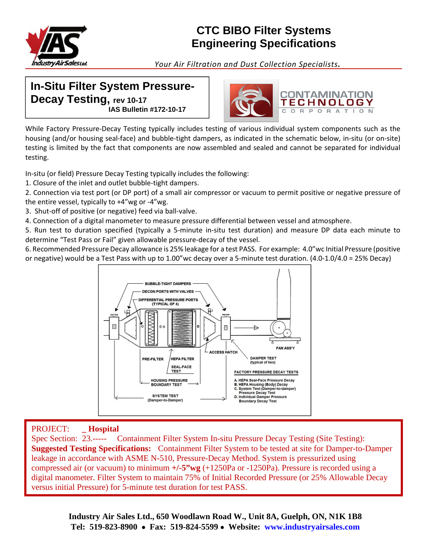

# **CTC BIBO Filter Systems Engineering Specifications**

*Your Air Filtration and Dust Collection Specialists.*

## **In-Situ Filter System Pressure-Decay Testing, rev 10-17 IAS Bulletin #172-10-17**



While Factory Pressure-Decay Testing typically includes testing of various individual system components such as the housing (and/or housing seal-face) and bubble-tight dampers, as indicated in the schematic below, in-situ (or on-site) testing is limited by the fact that components are now assembled and sealed and cannot be separated for individual testing.

In-situ (or field) Pressure Decay Testing typically includes the following:

- 1. Closure of the inlet and outlet bubble-tight dampers.
- 2. Connection via test port (or DP port) of a small air compressor or vacuum to permit positive or negative pressure of the entire vessel, typically to +4"wg or -4"wg.
- 3. Shut-off of positive (or negative) feed via ball-valve.
- 4. Connection of a digital manometer to measure pressure differential between vessel and atmosphere.

5. Run test to duration specified (typically a 5-minute in-situ test duration) and measure DP data each minute to determine "Test Pass or Fail" given allowable pressure-decay of the vessel.

6. Recommended Pressure Decay allowance is 25% leakage for a test PASS. For example: 4.0"wc Initial Pressure (positive or negative) would be a Test Pass with up to 1.00"wc decay over a 5-minute test duration. (4.0-1.0/4.0 = 25% Decay)



## PROJECT: **\_ Hospital**

Spec Section: 23.----- Containment Filter System In-situ Pressure Decay Testing (Site Testing): **Suggested Testing Specifications:** Containment Filter System to be tested at site for Damper-to-Damper leakage in accordance with ASME N-510, Pressure-Decay Method. System is pressurized using compressed air (or vacuum) to minimum **+/-5"wg** (+1250Pa or -1250Pa). Pressure is recorded using a digital manometer. Filter System to maintain 75% of Initial Recorded Pressure (or 25% Allowable Decay versus initial Pressure) for 5-minute test duration for test PASS.

> **Industry Air Sales Ltd., 650 Woodlawn Road W., Unit 8A, Guelph, ON, N1K 1B8 Tel: 519-823-8900 Fax: 519-824-5599 Website: www.industryairsales.com**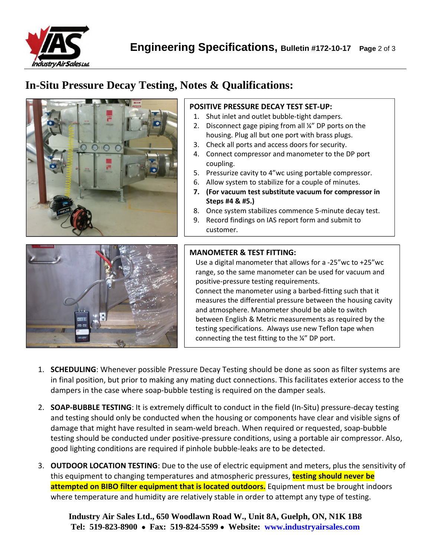

## **In-Situ Pressure Decay Testing, Notes & Qualifications:**



#### **POSITIVE PRESSURE DECAY TEST SET-UP:**

- 1. Shut inlet and outlet bubble-tight dampers.
- 2. Disconnect gage piping from all ¼" DP ports on the housing. Plug all but one port with brass plugs.
- 3. Check all ports and access doors for security.
- 4. Connect compressor and manometer to the DP port coupling.
- 5. Pressurize cavity to 4"wc using portable compressor.
- 6. Allow system to stabilize for a couple of minutes.
- **7. (For vacuum test substitute vacuum for compressor in Steps #4 & #5.)**
- 8. Once system stabilizes commence 5-minute decay test.
- 9. Record findings on IAS report form and submit to customer.



#### **MANOMETER & TEST FITTING:**

Use a digital manometer that allows for a -25"wc to +25"wc range, so the same manometer can be used for vacuum and positive-pressure testing requirements.

Connect the manometer using a barbed-fitting such that it measures the differential pressure between the housing cavity and atmosphere. Manometer should be able to switch between English & Metric measurements as required by the testing specifications. Always use new Teflon tape when connecting the test fitting to the ¼" DP port.

- 1. **SCHEDULING**: Whenever possible Pressure Decay Testing should be done as soon as filter systems are in final position, but prior to making any mating duct connections. This facilitates exterior access to the dampers in the case where soap-bubble testing is required on the damper seals.
- 2. **SOAP-BUBBLE TESTING**: It is extremely difficult to conduct in the field (In-Situ) pressure-decay testing and testing should only be conducted when the housing or components have clear and visible signs of damage that might have resulted in seam-weld breach. When required or requested, soap-bubble testing should be conducted under positive-pressure conditions, using a portable air compressor. Also, good lighting conditions are required if pinhole bubble-leaks are to be detected.
- 3. **OUTDOOR LOCATION TESTING**: Due to the use of electric equipment and meters, plus the sensitivity of this equipment to changing temperatures and atmospheric pressures, **testing should never be attempted on BIBO filter equipment that is located outdoors.** Equipment must be brought indoors where temperature and humidity are relatively stable in order to attempt any type of testing.

**Industry Air Sales Ltd., 650 Woodlawn Road W., Unit 8A, Guelph, ON, N1K 1B8 Tel: 519-823-8900 Fax: 519-824-5599 Website: www.industryairsales.com**